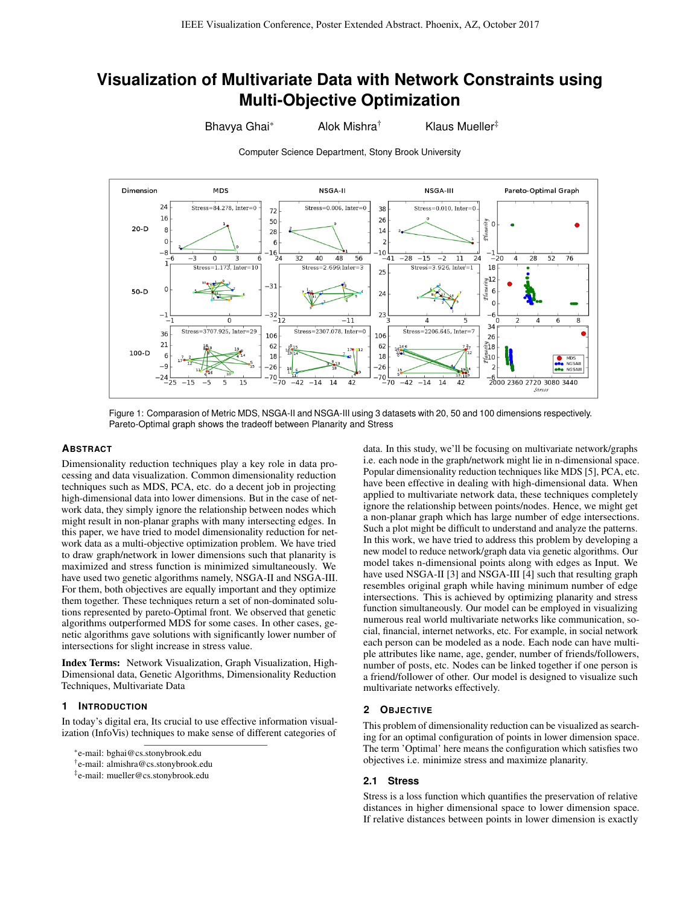# **Visualization of Multivariate Data with Network Constraints using Multi-Objective Optimization**

Computer Science Department, Stony Brook University

Bhavya Ghai\* Alok Mishra<sup>†</sup> Klaus Mueller<sup>‡</sup>



Figure 1: Comparasion of Metric MDS, NSGA-II and NSGA-III using 3 datasets with 20, 50 and 100 dimensions respectively. Pareto-Optimal graph shows the tradeoff between Planarity and Stress

## **ABSTRACT**

Dimensionality reduction techniques play a key role in data processing and data visualization. Common dimensionality reduction techniques such as MDS, PCA, etc. do a decent job in projecting high-dimensional data into lower dimensions. But in the case of network data, they simply ignore the relationship between nodes which might result in non-planar graphs with many intersecting edges. In this paper, we have tried to model dimensionality reduction for network data as a multi-objective optimization problem. We have tried to draw graph/network in lower dimensions such that planarity is maximized and stress function is minimized simultaneously. We have used two genetic algorithms namely, NSGA-II and NSGA-III. For them, both objectives are equally important and they optimize them together. These techniques return a set of non-dominated solutions represented by pareto-Optimal front. We observed that genetic algorithms outperformed MDS for some cases. In other cases, genetic algorithms gave solutions with significantly lower number of intersections for slight increase in stress value.

Index Terms: Network Visualization, Graph Visualization, High-Dimensional data, Genetic Algorithms, Dimensionality Reduction Techniques, Multivariate Data

### **1 INTRODUCTION**

In today's digital era, Its crucial to use effective information visualization (InfoVis) techniques to make sense of different categories of

data. In this study, we'll be focusing on multivariate network/graphs i.e. each node in the graph/network might lie in n-dimensional space. Popular dimensionality reduction techniques like MDS [5], PCA, etc. have been effective in dealing with high-dimensional data. When applied to multivariate network data, these techniques completely ignore the relationship between points/nodes. Hence, we might get a non-planar graph which has large number of edge intersections. Such a plot might be difficult to understand and analyze the patterns. In this work, we have tried to address this problem by developing a new model to reduce network/graph data via genetic algorithms. Our model takes n-dimensional points along with edges as Input. We have used NSGA-II [3] and NSGA-III [4] such that resulting graph resembles original graph while having minimum number of edge intersections. This is achieved by optimizing planarity and stress function simultaneously. Our model can be employed in visualizing numerous real world multivariate networks like communication, social, financial, internet networks, etc. For example, in social network each person can be modeled as a node. Each node can have multiple attributes like name, age, gender, number of friends/followers, number of posts, etc. Nodes can be linked together if one person is a friend/follower of other. Our model is designed to visualize such multivariate networks effectively.

# **2 OBJECTIVE**

This problem of dimensionality reduction can be visualized as searching for an optimal configuration of points in lower dimension space. The term 'Optimal' here means the configuration which satisfies two objectives i.e. minimize stress and maximize planarity.

### **2.1 Stress**

Stress is a loss function which quantifies the preservation of relative distances in higher dimensional space to lower dimension space. If relative distances between points in lower dimension is exactly

<sup>\*</sup>e-mail: bghai@cs.stonybrook.edu

<sup>†</sup> e-mail: almishra@cs.stonybrook.edu

<sup>‡</sup> e-mail: mueller@cs.stonybrook.edu